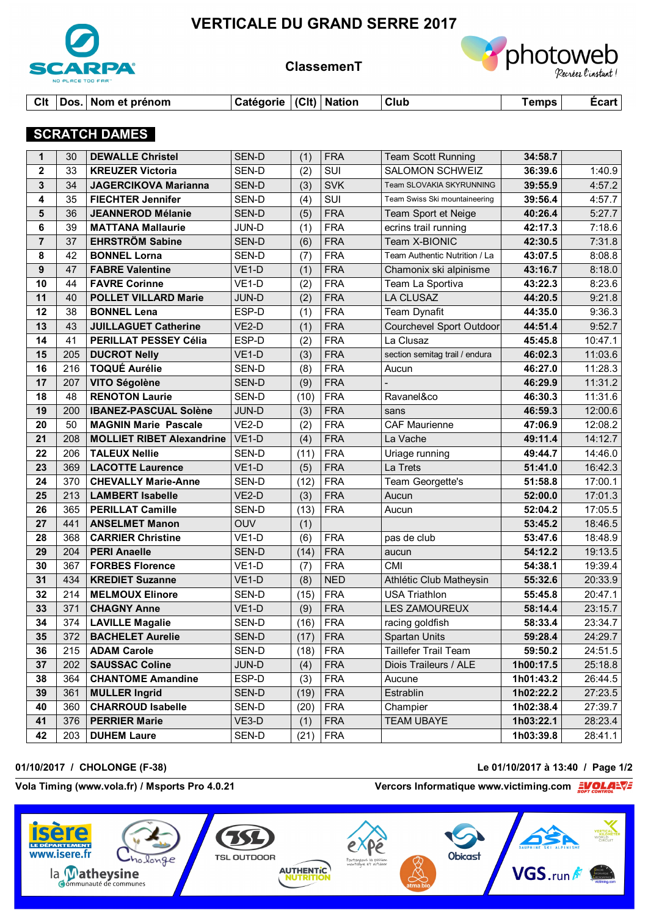

# **VERTICALE DU GRAND SERRE 2017**

**ClassemenT**



|  | CIt Dos. Nom et prénom | │Catégorie │(Clt) │Nation |  |  | $ $ Club | Temps I | Écart |
|--|------------------------|---------------------------|--|--|----------|---------|-------|
|--|------------------------|---------------------------|--|--|----------|---------|-------|

## **SCRATCH DAMES**

| 1              | 30  | <b>DEWALLE Christel</b>          | SEN-D              | (1)  | <b>FRA</b> | <b>Team Scott Running</b>      | 34:58.7   |         |
|----------------|-----|----------------------------------|--------------------|------|------------|--------------------------------|-----------|---------|
| $\mathbf{2}$   | 33  | <b>KREUZER Victoria</b>          | SEN-D              | (2)  | SUI        | <b>SALOMON SCHWEIZ</b>         | 36:39.6   | 1:40.9  |
| 3              | 34  | <b>JAGERCIKOVA Marianna</b>      | SEN-D              | (3)  | <b>SVK</b> | Team SLOVAKIA SKYRUNNING       | 39:55.9   | 4:57.2  |
| 4              | 35  | <b>FIECHTER Jennifer</b>         | SEN-D              | (4)  | SUI        | Team Swiss Ski mountaineering  | 39:56.4   | 4:57.7  |
| 5              | 36  | <b>JEANNEROD Mélanie</b>         | SEN-D              | (5)  | <b>FRA</b> | Team Sport et Neige            | 40:26.4   | 5:27.7  |
| 6              | 39  | <b>MATTANA Mallaurie</b>         | JUN-D              | (1)  | <b>FRA</b> | ecrins trail running           | 42:17.3   | 7:18.6  |
| $\overline{7}$ | 37  | <b>EHRSTRÖM Sabine</b>           | SEN-D              | (6)  | <b>FRA</b> | Team X-BIONIC                  | 42:30.5   | 7:31.8  |
| 8              | 42  | <b>BONNEL Lorna</b>              | SEN-D              | (7)  | <b>FRA</b> | Team Authentic Nutrition / La  | 43:07.5   | 8:08.8  |
| 9              | 47  | <b>FABRE Valentine</b>           | VE <sub>1</sub> -D | (1)  | <b>FRA</b> | Chamonix ski alpinisme         | 43:16.7   | 8:18.0  |
| 10             | 44  | <b>FAVRE Corinne</b>             | VE <sub>1-D</sub>  | (2)  | <b>FRA</b> | Team La Sportiva               | 43:22.3   | 8:23.6  |
| 11             | 40  | <b>POLLET VILLARD Marie</b>      | JUN-D              | (2)  | <b>FRA</b> | <b>LA CLUSAZ</b>               | 44:20.5   | 9:21.8  |
| 12             | 38  | <b>BONNEL Lena</b>               | ESP-D              | (1)  | <b>FRA</b> | <b>Team Dynafit</b>            | 44:35.0   | 9:36.3  |
| 13             | 43  | <b>JUILLAGUET Catherine</b>      | VE <sub>2</sub> -D | (1)  | <b>FRA</b> | Courchevel Sport Outdoor       | 44:51.4   | 9:52.7  |
| 14             | 41  | PERILLAT PESSEY Célia            | ESP-D              | (2)  | <b>FRA</b> | La Clusaz                      | 45:45.8   | 10:47.1 |
| 15             | 205 | <b>DUCROT Nelly</b>              | VE <sub>1</sub> -D | (3)  | <b>FRA</b> | section semitag trail / endura | 46:02.3   | 11:03.6 |
| 16             | 216 | <b>TOQUÉ Aurélie</b>             | SEN-D              | (8)  | <b>FRA</b> | Aucun                          | 46:27.0   | 11:28.3 |
| 17             | 207 | <b>VITO Ségolène</b>             | SEN-D              | (9)  | <b>FRA</b> |                                | 46:29.9   | 11:31.2 |
| 18             | 48  | <b>RENOTON Laurie</b>            | SEN-D              | (10) | <b>FRA</b> | Ravanel&co                     | 46:30.3   | 11:31.6 |
| 19             | 200 | <b>IBANEZ-PASCUAL Solène</b>     | JUN-D              | (3)  | <b>FRA</b> | sans                           | 46:59.3   | 12:00.6 |
| 20             | 50  | <b>MAGNIN Marie Pascale</b>      | VE <sub>2</sub> -D | (2)  | <b>FRA</b> | <b>CAF Maurienne</b>           | 47:06.9   | 12:08.2 |
| 21             | 208 | <b>MOLLIET RIBET Alexandrine</b> | $VE1-D$            | (4)  | <b>FRA</b> | La Vache                       | 49:11.4   | 14:12.7 |
| 22             | 206 | <b>TALEUX Nellie</b>             | SEN-D              | (11) | <b>FRA</b> | Uriage running                 | 49:44.7   | 14:46.0 |
| 23             | 369 | <b>LACOTTE Laurence</b>          | $VE1-D$            | (5)  | <b>FRA</b> | La Trets                       | 51:41.0   | 16:42.3 |
| 24             | 370 | <b>CHEVALLY Marie-Anne</b>       | SEN-D              | (12) | <b>FRA</b> | Team Georgette's               | 51:58.8   | 17:00.1 |
| 25             | 213 | <b>LAMBERT Isabelle</b>          | $VE2-D$            | (3)  | <b>FRA</b> | Aucun                          | 52:00.0   | 17:01.3 |
| 26             | 365 | <b>PERILLAT Camille</b>          | SEN-D              | (13) | <b>FRA</b> | Aucun                          | 52:04.2   | 17:05.5 |
| 27             | 441 | <b>ANSELMET Manon</b>            | <b>OUV</b>         | (1)  |            |                                | 53:45.2   | 18:46.5 |
| 28             | 368 | <b>CARRIER Christine</b>         | VE <sub>1-D</sub>  | (6)  | <b>FRA</b> | pas de club                    | 53:47.6   | 18:48.9 |
| 29             | 204 | <b>PERI Anaelle</b>              | SEN-D              | (14) | <b>FRA</b> | aucun                          | 54:12.2   | 19:13.5 |
| 30             | 367 | <b>FORBES Florence</b>           | VE <sub>1</sub> -D | (7)  | <b>FRA</b> | <b>CMI</b>                     | 54:38.1   | 19:39.4 |
| 31             | 434 | <b>KREDIET Suzanne</b>           | VE <sub>1</sub> -D | (8)  | <b>NED</b> | Athlétic Club Matheysin        | 55:32.6   | 20:33.9 |
| 32             | 214 | <b>MELMOUX Elinore</b>           | SEN-D              | (15) | <b>FRA</b> | <b>USA Triathlon</b>           | 55:45.8   | 20:47.1 |
| 33             | 371 | <b>CHAGNY Anne</b>               | VE <sub>1</sub> -D | (9)  | <b>FRA</b> | <b>LES ZAMOUREUX</b>           | 58:14.4   | 23:15.7 |
| 34             | 374 | <b>LAVILLE Magalie</b>           | SEN-D              | (16) | <b>FRA</b> | racing goldfish                | 58:33.4   | 23:34.7 |
| 35             |     | 372   BACHELET Aurelie           | SEN-D              |      | $(17)$ FRA | <b>Spartan Units</b>           | 59:28.4   | 24:29.7 |
| 36             | 215 | <b>ADAM Carole</b>               | SEN-D              | (18) | <b>FRA</b> | Taillefer Trail Team           | 59:50.2   | 24:51.5 |
| 37             | 202 | <b>SAUSSAC Coline</b>            | JUN-D              | (4)  | <b>FRA</b> | Diois Traileurs / ALE          | 1h00:17.5 | 25:18.8 |
| 38             | 364 | <b>CHANTOME Amandine</b>         | ESP-D              | (3)  | <b>FRA</b> | Aucune                         | 1h01:43.2 | 26:44.5 |
| 39             | 361 | <b>MULLER Ingrid</b>             | SEN-D              | (19) | <b>FRA</b> | Estrablin                      | 1h02:22.2 | 27:23.5 |
| 40             | 360 | <b>CHARROUD Isabelle</b>         | SEN-D              | (20) | <b>FRA</b> | Champier                       | 1h02:38.4 | 27:39.7 |
| 41             | 376 | <b>PERRIER Marie</b>             | $VE3-D$            | (1)  | <b>FRA</b> | <b>TEAM UBAYE</b>              | 1h03:22.1 | 28:23.4 |
| 42             | 203 | <b>DUHEM Laure</b>               | SEN-D              | (21) | <b>FRA</b> |                                | 1h03:39.8 | 28:41.1 |

#### **01/10/2017 / CHOLONGE (F-38) Le 01/10/2017 à 13:40 / Page 1/2**

### Vola Timing (www.vola.fr) / Msports Pro 4.0.21 *Vercors Informatique www.victiming.com*